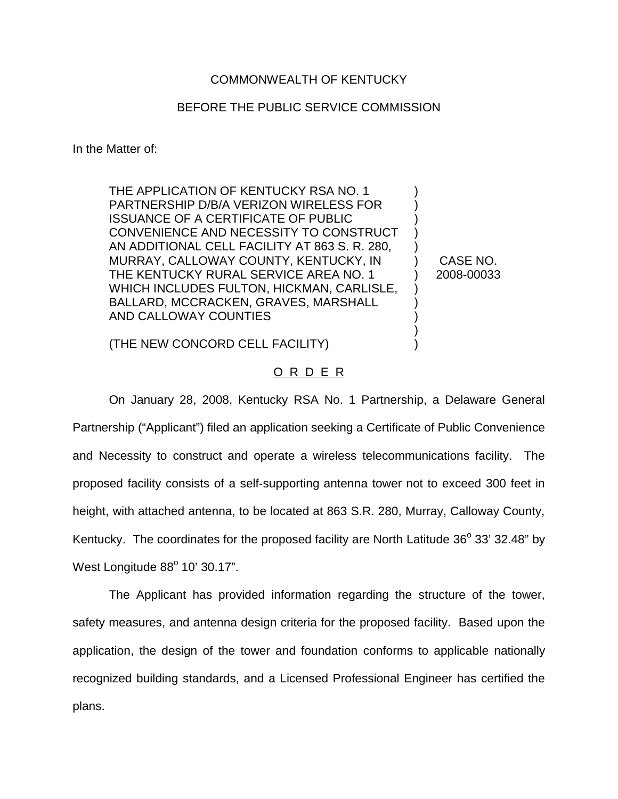## COMMONWEALTH OF KENTUCKY

## BEFORE THE PUBLIC SERVICE COMMISSION

In the Matter of:

THE APPLICATION OF KENTUCKY RSA NO. 1 PARTNERSHIP D/B/A VERIZON WIRELESS FOR ISSUANCE OF A CERTIFICATE OF PUBLIC CONVENIENCE AND NECESSITY TO CONSTRUCT AN ADDITIONAL CELL FACILITY AT 863 S. R. 280, MURRAY, CALLOWAY COUNTY, KENTUCKY, IN THE KENTUCKY RURAL SERVICE AREA NO. 1 WHICH INCLUDES FULTON, HICKMAN, CARLISLE, BALLARD, MCCRACKEN, GRAVES, MARSHALL AND CALLOWAY COUNTIES

CASE NO. 2008-00033

) ) ) ) ) ) ) ) ) ) ) )

(THE NEW CONCORD CELL FACILITY)

## O R D E R

On January 28, 2008, Kentucky RSA No. 1 Partnership, a Delaware General Partnership ("Applicant") filed an application seeking a Certificate of Public Convenience and Necessity to construct and operate a wireless telecommunications facility. The proposed facility consists of a self-supporting antenna tower not to exceed 300 feet in height, with attached antenna, to be located at 863 S.R. 280, Murray, Calloway County, Kentucky. The coordinates for the proposed facility are North Latitude  $36^{\circ}$  33' 32.48" by West Longitude  $88^\circ$  10' 30.17".

The Applicant has provided information regarding the structure of the tower, safety measures, and antenna design criteria for the proposed facility. Based upon the application, the design of the tower and foundation conforms to applicable nationally recognized building standards, and a Licensed Professional Engineer has certified the plans.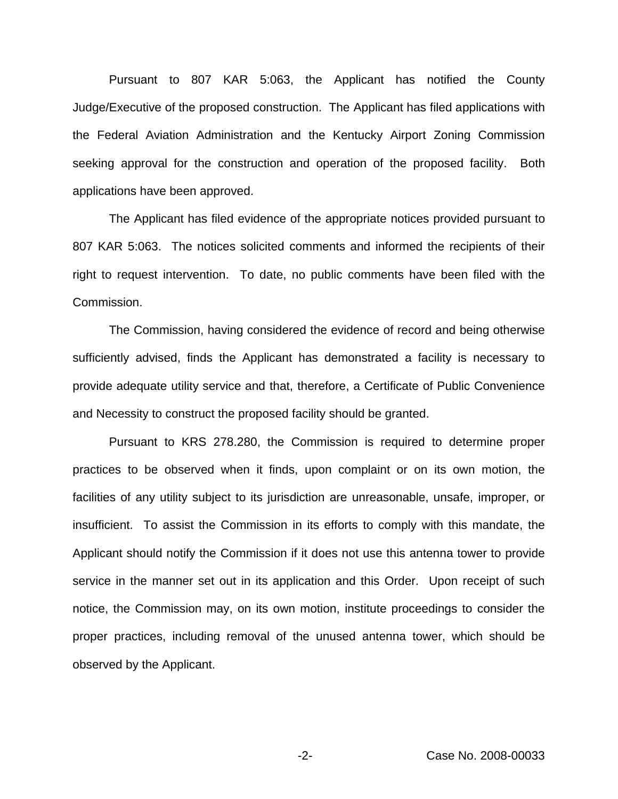Pursuant to 807 KAR 5:063, the Applicant has notified the County Judge/Executive of the proposed construction. The Applicant has filed applications with the Federal Aviation Administration and the Kentucky Airport Zoning Commission seeking approval for the construction and operation of the proposed facility. Both applications have been approved.

The Applicant has filed evidence of the appropriate notices provided pursuant to 807 KAR 5:063. The notices solicited comments and informed the recipients of their right to request intervention. To date, no public comments have been filed with the Commission.

The Commission, having considered the evidence of record and being otherwise sufficiently advised, finds the Applicant has demonstrated a facility is necessary to provide adequate utility service and that, therefore, a Certificate of Public Convenience and Necessity to construct the proposed facility should be granted.

Pursuant to KRS 278.280, the Commission is required to determine proper practices to be observed when it finds, upon complaint or on its own motion, the facilities of any utility subject to its jurisdiction are unreasonable, unsafe, improper, or insufficient. To assist the Commission in its efforts to comply with this mandate, the Applicant should notify the Commission if it does not use this antenna tower to provide service in the manner set out in its application and this Order. Upon receipt of such notice, the Commission may, on its own motion, institute proceedings to consider the proper practices, including removal of the unused antenna tower, which should be observed by the Applicant.